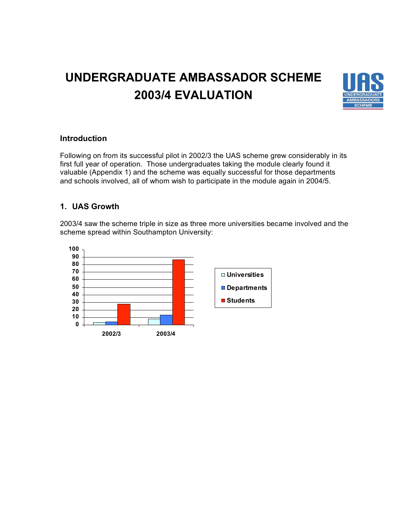# **UNDERGRADUATE AMBASSADOR SCHEME 2003/4 EVALUATION**



#### **Introduction**

Following on from its successful pilot in 2002/3 the UAS scheme grew considerably in its first full year of operation. Those undergraduates taking the module clearly found it valuable (Appendix 1) and the scheme was equally successful for those departments and schools involved, all of whom wish to participate in the module again in 2004/5.

### **1. UAS Growth**

2003/4 saw the scheme triple in size as three more universities became involved and the scheme spread within Southampton University:

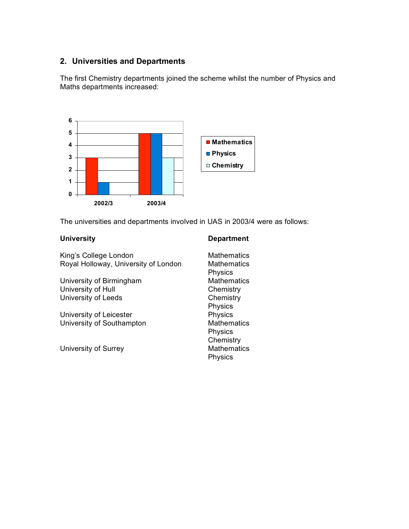## **2. Universities and Departments**

The first Chemistry departments joined the scheme whilst the number of Physics and Maths departments increased:



The universities and departments involved in UAS in 2003/4 were as follows:

#### **University Department**

| <b>Mathematics</b><br><b>Mathematics</b><br><b>Physics</b> |
|------------------------------------------------------------|
| <b>Mathematics</b>                                         |
| Chemistry                                                  |
| Chemistry                                                  |
| Physics                                                    |
| Physics                                                    |
| <b>Mathematics</b>                                         |
| <b>Physics</b>                                             |
| Chemistry                                                  |
| <b>Mathematics</b><br><b>Physics</b>                       |
|                                                            |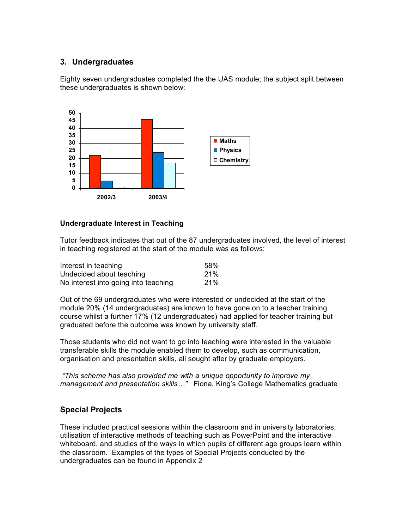### **3. Undergraduates**

Eighty seven undergraduates completed the the UAS module; the subject split between these undergraduates is shown below:



#### **Undergraduate Interest in Teaching**

Tutor feedback indicates that out of the 87 undergraduates involved, the level of interest in teaching registered at the start of the module was as follows:

| Interest in teaching                 | 58%        |
|--------------------------------------|------------|
| Undecided about teaching             | 21%        |
| No interest into going into teaching | <b>21%</b> |

Out of the 69 undergraduates who were interested or undecided at the start of the module 20% (14 undergraduates) are known to have gone on to a teacher training course whilst a further 17% (12 undergraduates) had applied for teacher training but graduated before the outcome was known by university staff.

Those students who did not want to go into teaching were interested in the valuable transferable skills the module enabled them to develop, such as communication, organisation and presentation skills, all sought after by graduate employers.

*"This scheme has also provided me with a unique opportunity to improve my management and presentation skills…"* Fiona, King's College Mathematics graduate

#### **Special Projects**

These included practical sessions within the classroom and in university laboratories, utilisation of interactive methods of teaching such as PowerPoint and the interactive whiteboard, and studies of the ways in which pupils of different age groups learn within the classroom. Examples of the types of Special Projects conducted by the undergraduates can be found in Appendix 2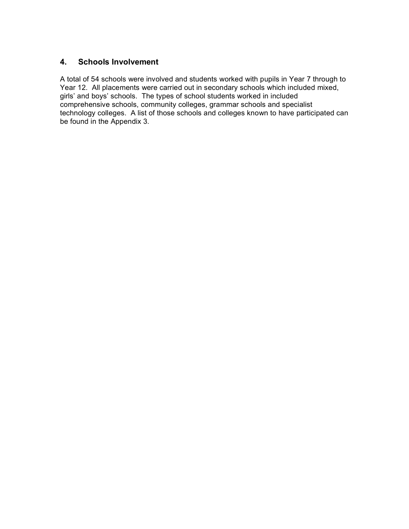#### **4. Schools Involvement**

A total of 54 schools were involved and students worked with pupils in Year 7 through to Year 12. All placements were carried out in secondary schools which included mixed, girls' and boys' schools. The types of school students worked in included comprehensive schools, community colleges, grammar schools and specialist technology colleges. A list of those schools and colleges known to have participated can be found in the Appendix 3.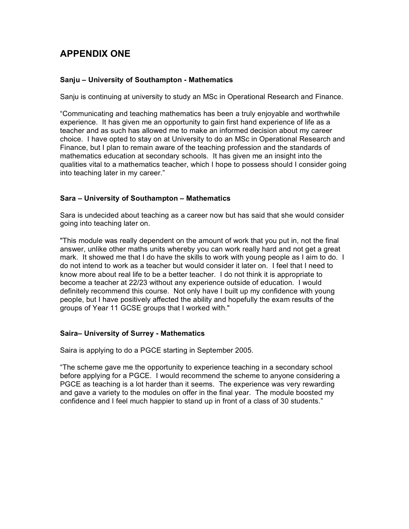# **APPENDIX ONE**

#### **Sanju – University of Southampton - Mathematics**

Sanju is continuing at university to study an MSc in Operational Research and Finance.

"Communicating and teaching mathematics has been a truly enjoyable and worthwhile experience. It has given me an opportunity to gain first hand experience of life as a teacher and as such has allowed me to make an informed decision about my career choice. I have opted to stay on at University to do an MSc in Operational Research and Finance, but I plan to remain aware of the teaching profession and the standards of mathematics education at secondary schools. It has given me an insight into the qualities vital to a mathematics teacher, which I hope to possess should I consider going into teaching later in my career."

#### **Sara – University of Southampton – Mathematics**

Sara is undecided about teaching as a career now but has said that she would consider going into teaching later on.

"This module was really dependent on the amount of work that you put in, not the final answer, unlike other maths units whereby you can work really hard and not get a great mark. It showed me that I do have the skills to work with young people as I aim to do. I do not intend to work as a teacher but would consider it later on. I feel that I need to know more about real life to be a better teacher. I do not think it is appropriate to become a teacher at 22/23 without any experience outside of education. I would definitely recommend this course. Not only have I built up my confidence with young people, but I have positively affected the ability and hopefully the exam results of the groups of Year 11 GCSE groups that I worked with."

#### **Saira– University of Surrey - Mathematics**

Saira is applying to do a PGCE starting in September 2005.

"The scheme gave me the opportunity to experience teaching in a secondary school before applying for a PGCE. I would recommend the scheme to anyone considering a PGCE as teaching is a lot harder than it seems. The experience was very rewarding and gave a variety to the modules on offer in the final year. The module boosted my confidence and I feel much happier to stand up in front of a class of 30 students."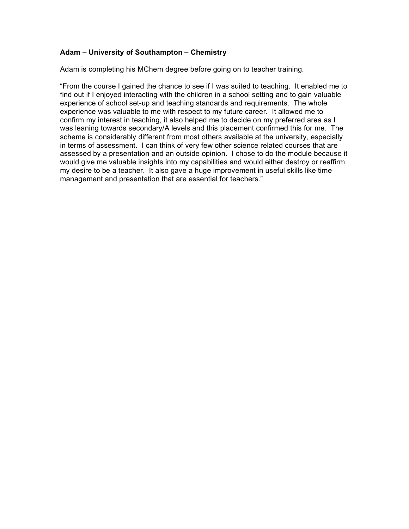#### **Adam – University of Southampton – Chemistry**

Adam is completing his MChem degree before going on to teacher training.

"From the course I gained the chance to see if I was suited to teaching. It enabled me to find out if I enjoyed interacting with the children in a school setting and to gain valuable experience of school set-up and teaching standards and requirements. The whole experience was valuable to me with respect to my future career. It allowed me to confirm my interest in teaching, it also helped me to decide on my preferred area as I was leaning towards secondary/A levels and this placement confirmed this for me. The scheme is considerably different from most others available at the university, especially in terms of assessment. I can think of very few other science related courses that are assessed by a presentation and an outside opinion. I chose to do the module because it would give me valuable insights into my capabilities and would either destroy or reaffirm my desire to be a teacher. It also gave a huge improvement in useful skills like time management and presentation that are essential for teachers."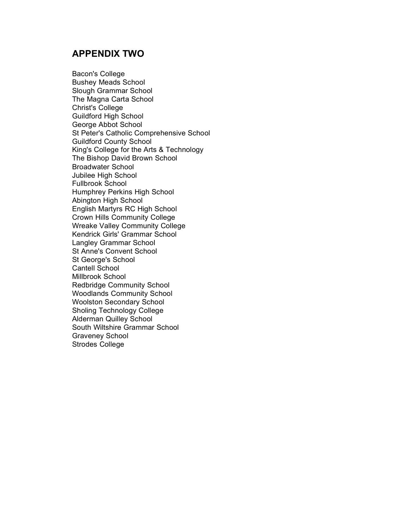# **APPENDIX TWO**

Bacon's College Bushey Meads School Slough Grammar School The Magna Carta School Christ's College Guildford High School George Abbot School St Peter's Catholic Comprehensive School Guildford County School King's College for the Arts & Technology The Bishop David Brown School Broadwater School Jubilee High School Fullbrook School Humphrey Perkins High School Abington High School English Martyrs RC High School Crown Hills Community College Wreake Valley Community College Kendrick Girls' Grammar School Langley Grammar School St Anne's Convent School St George's School Cantell School Millbrook School Redbridge Community School Woodlands Community School Woolston Secondary School Sholing Technology College Alderman Quilley School South Wiltshire Grammar School Graveney School Strodes College